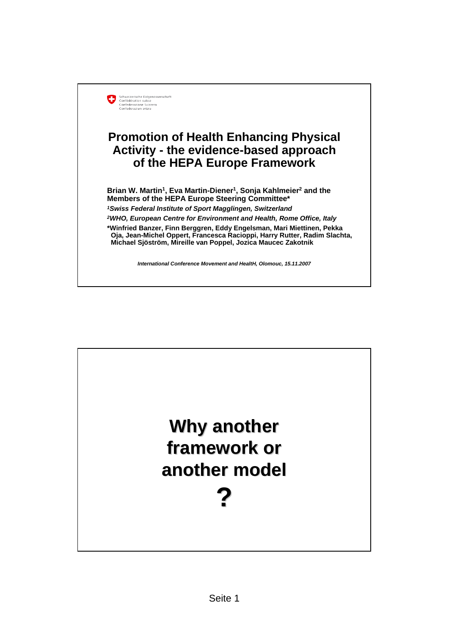

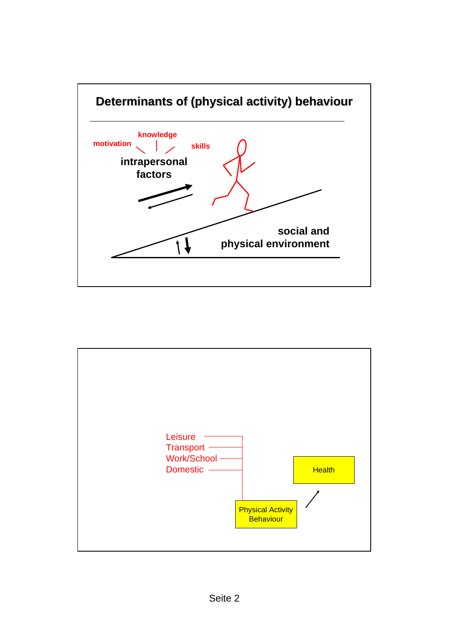

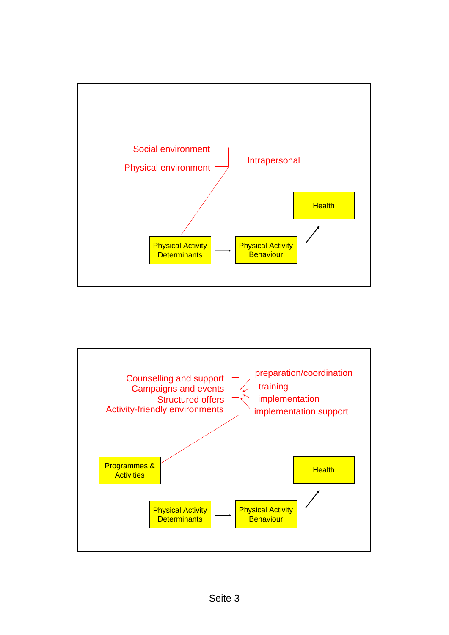

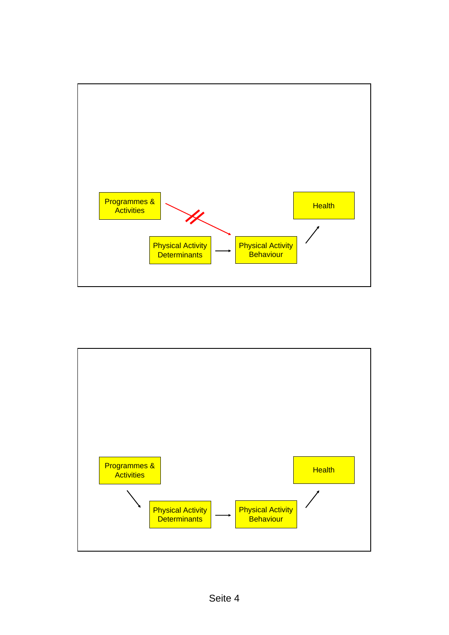

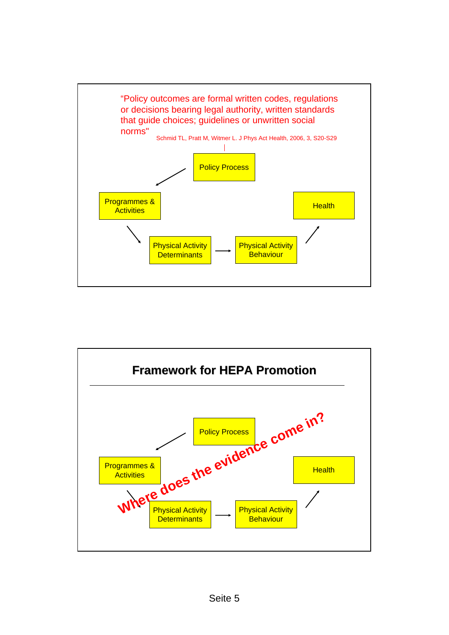

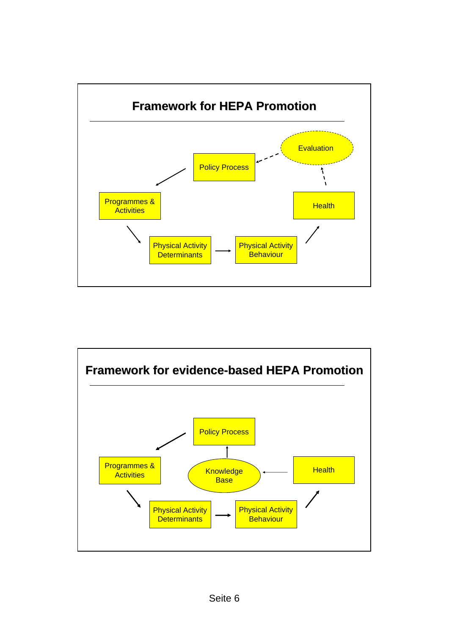

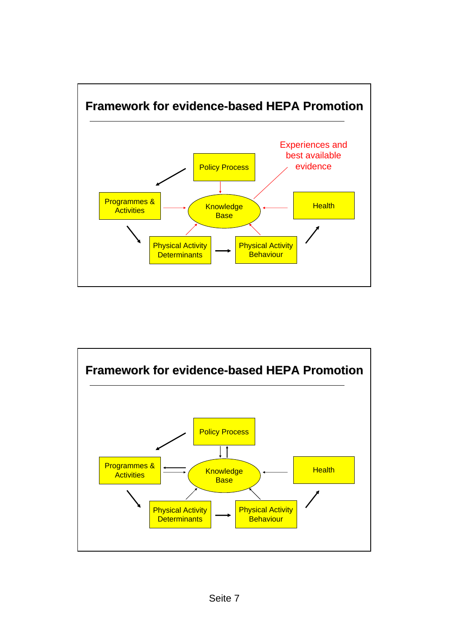

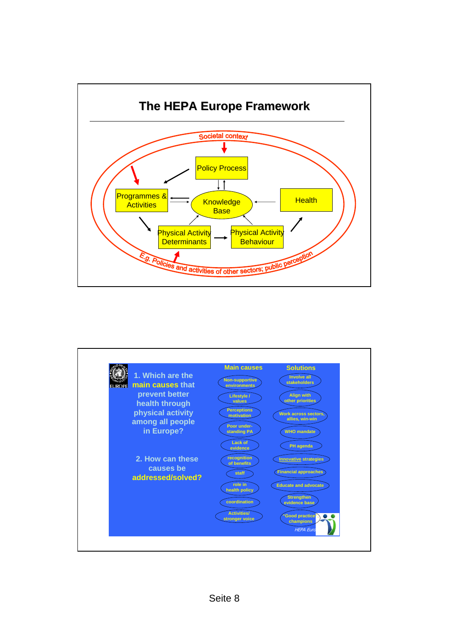